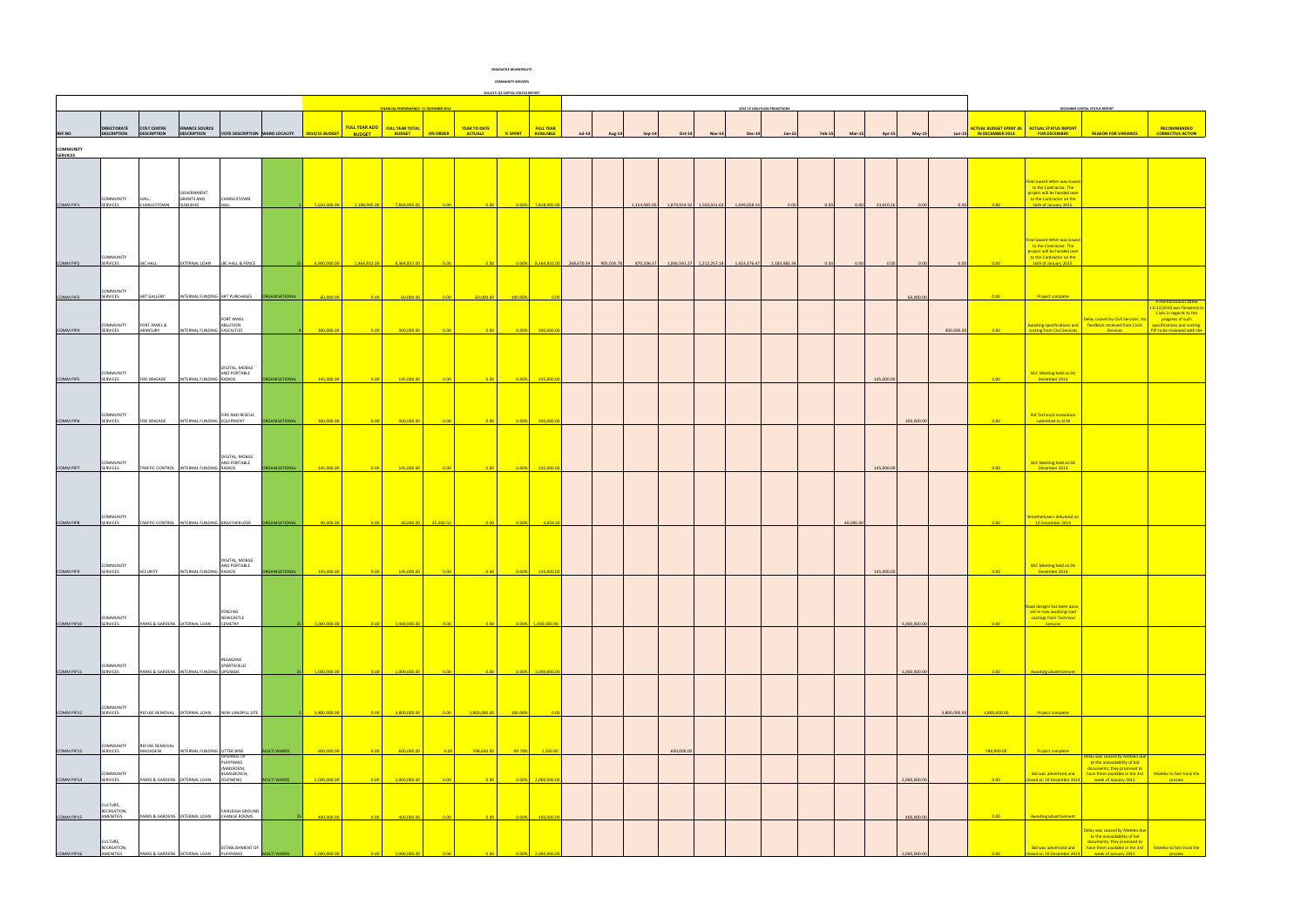|                                     | 2014/15 Q2 CAPITAL STATUS REPORT |                            |                                          |                                 |                     |                |               |                                                |                 |                |         |                       |  |                                                                                                              |              |                                      |  |              |                               |      |                            |            |              |              |                                               |                                                        |                                                                                                               |                                                       |
|-------------------------------------|----------------------------------|----------------------------|------------------------------------------|---------------------------------|---------------------|----------------|---------------|------------------------------------------------|-----------------|----------------|---------|-----------------------|--|--------------------------------------------------------------------------------------------------------------|--------------|--------------------------------------|--|--------------|-------------------------------|------|----------------------------|------------|--------------|--------------|-----------------------------------------------|--------------------------------------------------------|---------------------------------------------------------------------------------------------------------------|-------------------------------------------------------|
|                                     |                                  |                            |                                          |                                 |                     |                |               |                                                |                 |                |         |                       |  |                                                                                                              |              |                                      |  |              |                               |      |                            |            |              |              |                                               |                                                        |                                                                                                               |                                                       |
|                                     |                                  |                            |                                          |                                 |                     |                |               | <b>FINANCIAL PERFORMANCE: 31 DECEMBER 2014</b> |                 |                |         |                       |  |                                                                                                              |              |                                      |  |              | 2014'15 CASH FLOW PROJECTIONS |      |                            |            |              |              |                                               |                                                        | DECEMBER CAPITAL STATUS REPORT                                                                                |                                                       |
|                                     | DIRECTORATE COST CENTRE          |                            | <b>FINANCE SOURCE</b>                    |                                 |                     |                |               | FULL YEAR ADD FULL YEAR TOTAL                  |                 | YEAR TO DATE   |         | <b>FULL YEAR</b>      |  |                                                                                                              |              |                                      |  |              |                               |      |                            |            |              |              | ACTUAL BUDGET SPENT AS   ACTUAL STATUS REPORT |                                                        |                                                                                                               | RECOMMENDED                                           |
| <b>REF NO</b>                       | <b>DESCRIPTION</b>               | <b>DESCRIPTION</b>         | <b>DESCRIPTION</b>                       | VOTE DESCRIPTION WARD LOCALITY  |                     | 2014/15 BUDGET | <b>BUDGET</b> | <b>BUDGET</b>                                  | <b>ON ORDER</b> | <b>ACTUALS</b> | % SPENT | AVAILABLE             |  |                                                                                                              |              |                                      |  |              |                               |      |                            |            |              |              | IN DECEMBER 2014                              | <b>FOR DECEMBER</b>                                    | <b>REASON FOR VARIANO</b>                                                                                     | <b>CORRECTIVE ACTION</b>                              |
| <b>COMMUNITY</b><br><b>SERVICES</b> |                                  |                            |                                          |                                 |                     |                |               |                                                |                 |                |         |                       |  |                                                                                                              |              |                                      |  |              |                               |      |                            |            |              |              |                                               |                                                        |                                                                                                               |                                                       |
|                                     |                                  |                            |                                          |                                 |                     |                |               |                                                |                 |                |         |                       |  |                                                                                                              |              |                                      |  |              |                               |      |                            |            |              |              |                                               |                                                        |                                                                                                               |                                                       |
|                                     |                                  |                            |                                          |                                 |                     |                |               |                                                |                 |                |         |                       |  |                                                                                                              |              |                                      |  |              |                               |      |                            |            |              |              |                                               | Final award letter was issued                          |                                                                                                               |                                                       |
|                                     |                                  |                            | GOVERNMENT                               |                                 |                     |                |               |                                                |                 |                |         |                       |  |                                                                                                              |              |                                      |  |              |                               |      |                            |            |              |              |                                               | to the Contractor. The<br>project will be handed over  |                                                                                                               |                                                       |
| COMM PIP1                           | COMMUNITY<br><b>SERVICES</b>     | HALL:<br>CHARLESTOWN       | <b>GRANTS AND</b><br>SUBSIDIES           | CHARLESTOWN<br><b>HALL</b>      |                     | 5,620,000.00   | 2,198,995.00  | 7,818,995.00                                   | 0.00            | 0.00           |         | 0.00% 7,818,995.00    |  |                                                                                                              | 1,154,085.00 | 1,879,914.50 1,503,931.60            |  | 1,049,058.14 | 0.00                          | 0.00 | 0.00                       | 33,010.26  | 0.00         | 0.00         | 0.00                                          | to the Contractor on the<br>16th of January 2015.      |                                                                                                               |                                                       |
|                                     |                                  |                            |                                          |                                 |                     |                |               |                                                |                 |                |         |                       |  |                                                                                                              |              |                                      |  |              |                               |      |                            |            |              |              |                                               |                                                        |                                                                                                               |                                                       |
|                                     |                                  |                            |                                          |                                 |                     |                |               |                                                |                 |                |         |                       |  |                                                                                                              |              |                                      |  |              |                               |      |                            |            |              |              |                                               |                                                        |                                                                                                               |                                                       |
|                                     |                                  |                            |                                          |                                 |                     |                |               |                                                |                 |                |         |                       |  |                                                                                                              |              |                                      |  |              |                               |      |                            |            |              |              |                                               | Final award letter was issued                          |                                                                                                               |                                                       |
|                                     |                                  |                            |                                          |                                 |                     |                |               |                                                |                 |                |         |                       |  |                                                                                                              |              |                                      |  |              |                               |      |                            |            |              |              |                                               | to the Contractor. The<br>project will be handed over  |                                                                                                               |                                                       |
| COMM PIP2                           | COMMUNITY<br>SERVICES            | <b>JBC HALL</b>            |                                          | EXTERNAL LOAN JBC HALL & FENCE  |                     | 6,900,000.00   | 1,464,832.00  | 8,364,832.00                                   | 0.00            | 0.00           |         |                       |  | $\begin{array}{ c c c c c c c c } \hline 0.00\% & 8,364,832.00 & 268,670.59 & 905,014.78 \hline \end{array}$ |              | 870,106.37 1,006,591.27 1,212,257.18 |  | 1,453,376.47 | 1,183,983.34                  | 0.00 | 0 <sup>0<sup>c</sup></sup> |            | 0.00         | 0.00         | 0.00                                          | to the Contractor on the<br>16th of January 2015.      |                                                                                                               |                                                       |
|                                     |                                  |                            |                                          |                                 |                     |                |               |                                                |                 |                |         |                       |  |                                                                                                              |              |                                      |  |              |                               |      |                            |            |              |              |                                               |                                                        |                                                                                                               |                                                       |
|                                     | COMMUNITY                        |                            |                                          |                                 |                     |                |               |                                                |                 |                |         |                       |  |                                                                                                              |              |                                      |  |              |                               |      |                            |            |              |              |                                               |                                                        |                                                                                                               |                                                       |
| COMM PIP3                           | SERVICES                         | ART GALLERY                |                                          | INTERNAL FUNDING ART PURCHASES  | RGANISATIONAL       | 60,000.00      | 0.00          | 60,000.00                                      | 0.00            | 60,000.00      | 100.00% |                       |  |                                                                                                              |              |                                      |  |              |                               |      |                            |            | 60,000.00    |              | 0.00                                          | <b>Project complete</b>                                |                                                                                                               | A memorandum dated                                    |
|                                     |                                  |                            |                                          |                                 |                     |                |               |                                                |                 |                |         |                       |  |                                                                                                              |              |                                      |  |              |                               |      |                            |            |              |              |                                               |                                                        |                                                                                                               | 1/12/2014 was forwared to<br>Civils in regards to the |
|                                     | COMMUNITY                        | FORT AMIEL &               |                                          | FORT AMIEL<br><b>ABLUTION</b>   |                     |                | 0.00          |                                                |                 | 0.00           |         |                       |  |                                                                                                              |              |                                      |  |              |                               |      |                            |            |              |              |                                               |                                                        | Delay caused by Civil Services. No<br>Awaiting specifications and <b>Feedback received from Civils</b>        | progress of such<br>specifications and costing.       |
| COMM PIP4                           | SERVICES                         | ARMOURY                    | <b>TERNAL FUNDING FASCILITIES</b>        |                                 |                     | 300,000.00     |               | 300,000.00                                     | 0.00            |                | 0.00%   | 300,000.0             |  |                                                                                                              |              |                                      |  |              |                               |      |                            |            |              | 300,000.00   | 0.00                                          | costing from Civil Services                            | Services                                                                                                      | PIP to be reviewed with the                           |
|                                     |                                  |                            |                                          |                                 |                     |                |               |                                                |                 |                |         |                       |  |                                                                                                              |              |                                      |  |              |                               |      |                            |            |              |              |                                               |                                                        |                                                                                                               |                                                       |
|                                     |                                  |                            |                                          |                                 |                     |                |               |                                                |                 |                |         |                       |  |                                                                                                              |              |                                      |  |              |                               |      |                            |            |              |              |                                               |                                                        |                                                                                                               |                                                       |
|                                     | COMMUNITY<br><b>SERVICES</b>     | <b>FIRE BRIGADE</b>        | INTERNAL FUNDING RADIOS                  | DIGITAL, MOBILE<br>AND PORTABLE | ORGANISATIONAL      | 145,000.00     | 0.00          | 145,000.00                                     | 0.00            |                | 0.00%   | 145,000.0             |  |                                                                                                              |              |                                      |  |              |                               |      |                            | 145,000.00 |              |              | 0.00                                          | BSC Meeting held on 04<br>December 2014                |                                                                                                               |                                                       |
| COMM PIP5                           |                                  |                            |                                          |                                 |                     |                |               |                                                |                 |                |         |                       |  |                                                                                                              |              |                                      |  |              |                               |      |                            |            |              |              |                                               |                                                        |                                                                                                               |                                                       |
|                                     |                                  |                            |                                          |                                 |                     |                |               |                                                |                 |                |         |                       |  |                                                                                                              |              |                                      |  |              |                               |      |                            |            |              |              |                                               |                                                        |                                                                                                               |                                                       |
|                                     | COMMUNITY                        |                            |                                          | FIRE AND RESCUE                 |                     |                |               |                                                |                 |                |         |                       |  |                                                                                                              |              |                                      |  |              |                               |      |                            |            |              |              |                                               | <b>Bid Technical evaluation</b>                        |                                                                                                               |                                                       |
| COMM PIP6                           | <b>SERVICES</b>                  | <b>FIRE BRIGADE</b>        | INTERNAL FUNDING EQUIPMENT               |                                 | RGANISATIONAL       | 300,000.00     | 0.00          | 300,000.00                                     | 0.00            | 0.00           | 0.00%   | 300,000.00            |  |                                                                                                              |              |                                      |  |              |                               |      |                            |            | 300,000.00   |              | 0.00                                          | submitted to SCM                                       |                                                                                                               |                                                       |
|                                     |                                  |                            |                                          |                                 |                     |                |               |                                                |                 |                |         |                       |  |                                                                                                              |              |                                      |  |              |                               |      |                            |            |              |              |                                               |                                                        |                                                                                                               |                                                       |
|                                     |                                  |                            |                                          |                                 |                     |                |               |                                                |                 |                |         |                       |  |                                                                                                              |              |                                      |  |              |                               |      |                            |            |              |              |                                               |                                                        |                                                                                                               |                                                       |
|                                     | COMMUNITY                        |                            |                                          | DIGITAL, MOBILE<br>AND PORTABLE |                     |                |               |                                                |                 |                |         |                       |  |                                                                                                              |              |                                      |  |              |                               |      |                            |            |              |              |                                               | <b>BSC Meeting held on 04</b>                          |                                                                                                               |                                                       |
| COMM PIP7                           | SERVICES                         |                            | TRAFFIC CONTROL INTERNAL FUNDING RADIOS  |                                 | RGANISATIONAL       | 145,000.00     | 0.00          | 145,000.00                                     | 0.00            |                | 0.00%   | 145,000.00            |  |                                                                                                              |              |                                      |  |              |                               |      |                            | 145,000.00 |              |              | 0.00                                          | December 2014                                          |                                                                                                               |                                                       |
|                                     |                                  |                            |                                          |                                 |                     |                |               |                                                |                 |                |         |                       |  |                                                                                                              |              |                                      |  |              |                               |      |                            |            |              |              |                                               |                                                        |                                                                                                               |                                                       |
|                                     |                                  |                            |                                          |                                 |                     |                |               |                                                |                 |                |         |                       |  |                                                                                                              |              |                                      |  |              |                               |      |                            |            |              |              |                                               |                                                        |                                                                                                               |                                                       |
|                                     |                                  |                            |                                          |                                 |                     |                |               |                                                |                 |                |         |                       |  |                                                                                                              |              |                                      |  |              |                               |      |                            |            |              |              |                                               |                                                        |                                                                                                               |                                                       |
| COMM PIP8                           | COMMUNITY<br><b>SERVICES</b>     | TRAFFIC CONTROL            | INTERNAL FUNDING BREATHERLIZER           |                                 | <b>GANISATIONAL</b> | 40.000.0       |               | 40.000.00                                      | 35,340.50       |                | 0.00%   | 4,659.5               |  |                                                                                                              |              |                                      |  |              |                               |      | 40,000.00                  |            |              |              | 0.00                                          | <b>Breatherlysers delivered on</b><br>10 December 2014 |                                                                                                               |                                                       |
|                                     |                                  |                            |                                          |                                 |                     |                |               |                                                |                 |                |         |                       |  |                                                                                                              |              |                                      |  |              |                               |      |                            |            |              |              |                                               |                                                        |                                                                                                               |                                                       |
|                                     |                                  |                            |                                          |                                 |                     |                |               |                                                |                 |                |         |                       |  |                                                                                                              |              |                                      |  |              |                               |      |                            |            |              |              |                                               |                                                        |                                                                                                               |                                                       |
|                                     |                                  |                            |                                          | DIGITAL, MOBILE                 |                     |                |               |                                                |                 |                |         |                       |  |                                                                                                              |              |                                      |  |              |                               |      |                            |            |              |              |                                               |                                                        |                                                                                                               |                                                       |
| COMM PIP9                           | COMMUNITY<br>SERVICES            | SECURITY                   | INTERNAL FUNDING RADIOS                  | AND PORTABLE                    |                     | 145.000.       |               |                                                |                 |                | 0.00%   | 145,000.              |  |                                                                                                              |              |                                      |  |              |                               |      |                            | 145,000.00 |              |              | 0.00                                          | <b>BSC Meeting held on 04</b><br>December 2014         |                                                                                                               |                                                       |
|                                     |                                  |                            |                                          |                                 |                     |                |               |                                                |                 |                |         |                       |  |                                                                                                              |              |                                      |  |              |                               |      |                            |            |              |              |                                               |                                                        |                                                                                                               |                                                       |
|                                     |                                  |                            |                                          |                                 |                     |                |               |                                                |                 |                |         |                       |  |                                                                                                              |              |                                      |  |              |                               |      |                            |            |              |              |                                               |                                                        |                                                                                                               |                                                       |
|                                     |                                  |                            |                                          | <b>FENCING</b>                  |                     |                |               |                                                |                 |                |         |                       |  |                                                                                                              |              |                                      |  |              |                               |      |                            |            |              |              |                                               | Road designs has been done,<br>we're now awaiting road |                                                                                                               |                                                       |
| COMM PIP10                          | COMMUNITY<br><b>SERVICES</b>     |                            | PARKS & GARDENS EXTERNAL LOAN            | NEWCASTLE<br>CEMETRY            |                     | 1,000,000.00   | 0.00          | 1,000,000.00                                   | 0.00            | 0.00           |         | $0.00\%$ 1,000,000.0  |  |                                                                                                              |              |                                      |  |              |                               |      |                            |            | 1,000,000.00 |              | 0.00                                          | costings from Technical<br>Services                    |                                                                                                               |                                                       |
|                                     |                                  |                            |                                          |                                 |                     |                |               |                                                |                 |                |         |                       |  |                                                                                                              |              |                                      |  |              |                               |      |                            |            |              |              |                                               |                                                        |                                                                                                               |                                                       |
|                                     |                                  |                            |                                          |                                 |                     |                |               |                                                |                 |                |         |                       |  |                                                                                                              |              |                                      |  |              |                               |      |                            |            |              |              |                                               |                                                        |                                                                                                               |                                                       |
|                                     | COMMUNITY                        |                            |                                          | INGAGANE<br>SPORTSFIELD         |                     |                |               |                                                |                 |                |         |                       |  |                                                                                                              |              |                                      |  |              |                               |      |                            |            |              |              |                                               |                                                        |                                                                                                               |                                                       |
| COMM PIP11                          | <b>SERVICES</b>                  |                            | PARKS & GARDENS INTERNAL FUNDING UPGRADE |                                 |                     | 1,000,000.0    |               | 1.000.000.0                                    | 0.00            |                | 0.00%   | 1,000,000.0           |  |                                                                                                              |              |                                      |  |              |                               |      |                            |            | 1,000,000.00 |              | 0.00                                          | Awaiting advertisement                                 |                                                                                                               |                                                       |
|                                     |                                  |                            |                                          |                                 |                     |                |               |                                                |                 |                |         |                       |  |                                                                                                              |              |                                      |  |              |                               |      |                            |            |              |              |                                               |                                                        |                                                                                                               |                                                       |
|                                     |                                  |                            |                                          |                                 |                     |                |               |                                                |                 |                |         |                       |  |                                                                                                              |              |                                      |  |              |                               |      |                            |            |              |              |                                               |                                                        |                                                                                                               |                                                       |
| COMM PIP12                          | COMMUNITY<br>SERVICES            | REFUSE REMOVAL             |                                          | EXTERNAL LOAN NEW LANDFILL SITE |                     | 3,800,000.0    |               | 3,800,000.00                                   | 0.00            | 3,800,000.00   | 100.00% |                       |  |                                                                                                              |              |                                      |  |              |                               |      |                            |            |              | 3,800,000.00 | 3,800,000.00                                  | <b>Project complete</b>                                |                                                                                                               |                                                       |
|                                     |                                  |                            |                                          |                                 |                     |                |               |                                                |                 |                |         |                       |  |                                                                                                              |              |                                      |  |              |                               |      |                            |            |              |              |                                               |                                                        |                                                                                                               |                                                       |
|                                     |                                  |                            |                                          |                                 |                     |                |               |                                                |                 |                |         |                       |  |                                                                                                              |              |                                      |  |              |                               |      |                            |            |              |              |                                               |                                                        |                                                                                                               |                                                       |
| COMM PIP13                          | COMMUNITY<br><b>SERVICES</b>     | REFUSE REMOVAL<br>MADADENI | INTERNAL FUNDING LITTER BINS             |                                 | MULTI WARDS         | 600,000.00     | 0.00          | 600,000.00                                     | 0.00            | 598,650.00     | 99.78%  | 1,350.00              |  |                                                                                                              |              | 600,000.00                           |  |              |                               |      |                            |            |              |              | 590,000.00                                    | Project complete                                       |                                                                                                               |                                                       |
|                                     |                                  |                            |                                          | <b>UPGRADE OF</b><br>PLAYPARKS  |                     |                |               |                                                |                 |                |         |                       |  |                                                                                                              |              |                                      |  |              |                               |      |                            |            |              |              |                                               |                                                        | <mark>Delay was caused by Moteko du</mark><br>to the unavailability of bid                                    |                                                       |
|                                     | COMMUNITY                        |                            |                                          | (MADADENI,<br>BLAAUBOSCH,       |                     |                |               |                                                |                 |                |         |                       |  |                                                                                                              |              |                                      |  |              |                               |      |                            |            |              |              |                                               |                                                        | documents; they promised to<br>Bid was advertised and have them available in the 3rd Moteko to fast track the |                                                       |
| COMM PIP14                          | <b>SERVICES</b>                  |                            | PARKS & GARDENS EXTERNAL LOAN            | OSIZWENI)                       | MULTI WARDS         | 2,000,000.00   | 0.00          | 2,000,000.00                                   | 0.00            |                |         | $0.00\%$ 2,000,000.00 |  |                                                                                                              |              |                                      |  |              |                               |      |                            |            | 2,000,000.00 |              | 0.00                                          |                                                        | losed on 10 December 2014 veek of January 2015                                                                | <b>process</b>                                        |
|                                     |                                  |                            |                                          |                                 |                     |                |               |                                                |                 |                |         |                       |  |                                                                                                              |              |                                      |  |              |                               |      |                            |            |              |              |                                               |                                                        |                                                                                                               |                                                       |
|                                     | CULTURE,<br>RECREATION,          |                            |                                          | <b>FAIRLEIGH GROUND</b>         |                     |                |               |                                                |                 |                |         |                       |  |                                                                                                              |              |                                      |  |              |                               |      |                            |            |              |              |                                               |                                                        |                                                                                                               |                                                       |
| COMM PIP15                          | AMENITIES                        |                            | PARKS & GARDENS EXTERNAL LOAN            | <b>CHANGE ROOMS</b>             |                     | 400,000.00     | 0.00          | 400,000.00                                     | 0.00            | 0.00           | 0.00%   | 400,000.00            |  |                                                                                                              |              |                                      |  |              |                               |      |                            |            | 400,000.00   |              | 0.00                                          | Awaiting advertisement                                 |                                                                                                               |                                                       |
|                                     |                                  |                            |                                          |                                 |                     |                |               |                                                |                 |                |         |                       |  |                                                                                                              |              |                                      |  |              |                               |      |                            |            |              |              |                                               |                                                        | Delay was caused by Moteko due<br>to the unavailability of bid                                                |                                                       |
|                                     | CULTURE,<br>RECREATION,          |                            |                                          | ESTABLISHMENT OF                |                     |                |               |                                                |                 |                |         |                       |  |                                                                                                              |              |                                      |  |              |                               |      |                            |            |              |              |                                               |                                                        | documents; they promised to<br>Bid was advertised and have them available in the 3rd Moteko to fast track the |                                                       |
| COMM PIP16                          | <b>AMENITIES</b>                 |                            | PARKS & GARDENS EXTERNAL LOAN            | <b>PLAYPARKS</b>                | <b>MULTI WARDS</b>  | 2.000.000.00   | 0.00          | 2.000.000.00                                   | 0.00            |                |         | $0.00\%$ 2.000.000.0  |  |                                                                                                              |              |                                      |  |              |                               |      |                            |            | 2.000.000.00 |              | 0.00                                          | sed on 10 December 2014                                | week of January 2015                                                                                          | <b>process</b>                                        |

|  | NEWCASTLE MUNICIPALITY |
|--|------------------------|
|  |                        |

**COMMUNITY SERVICES**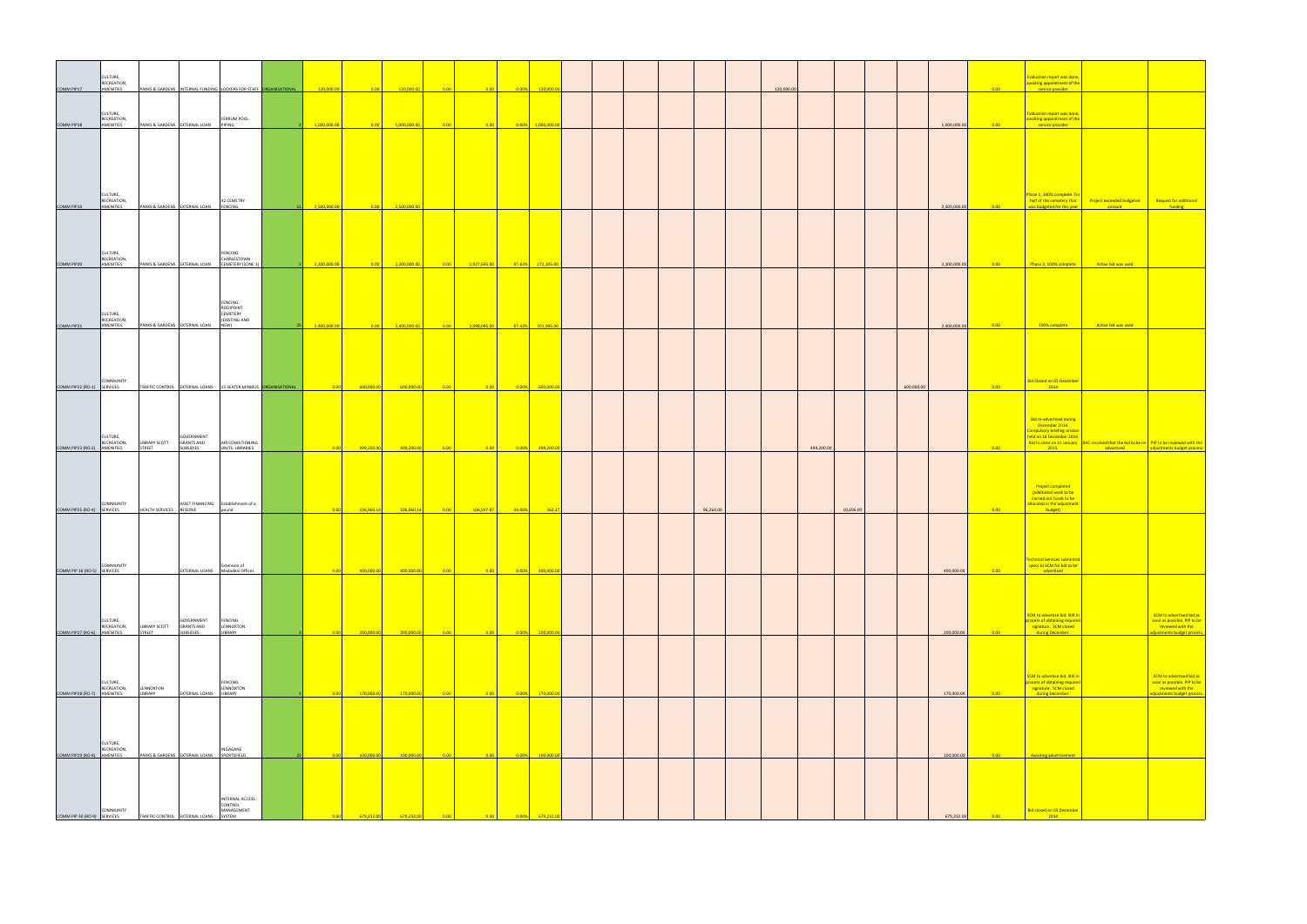|                             | CULTURE,                             |                                            |                                 |                                                                   |              |                                                                  |                   |                                                                                  |            |                                                                         |  |  |           |            |            |           |            |              |                                                                    | Evaluation report was done,                                                                                             |                             |
|-----------------------------|--------------------------------------|--------------------------------------------|---------------------------------|-------------------------------------------------------------------|--------------|------------------------------------------------------------------|-------------------|----------------------------------------------------------------------------------|------------|-------------------------------------------------------------------------|--|--|-----------|------------|------------|-----------|------------|--------------|--------------------------------------------------------------------|-------------------------------------------------------------------------------------------------------------------------|-----------------------------|
| COMM PIP17                  | RECREATION,<br>AMENITIES             |                                            |                                 | PARKS & GARDENS INTERNAL FUNDING LOCKERS FOR STAFF ORGANISATIONAL | 120,000.00   | $\begin{array}{ c c c }\n\hline\n0.00 & \\\hline\n\end{array}$   | 120,000.00        | 0.00                                                                             |            | $\begin{array}{ c c c c }\n\hline\n0.00\% & 120,000.00\n\end{array}$    |  |  |           | 120,000.00 |            |           |            |              | 0.00                                                               | awaiting appointment of the<br>service provider                                                                         |                             |
|                             | CULTURE,                             |                                            |                                 |                                                                   |              |                                                                  |                   |                                                                                  |            |                                                                         |  |  |           |            |            |           |            |              |                                                                    | Evaluation report was done,                                                                                             |                             |
| COMM PIP18                  | RECREATION,<br>AMENITIES             | PARKS & GARDENS EXTERNAL LOAN PIPING       |                                 | FERRUM POOL                                                       | 1,000,000.00 |                                                                  | 1,000,000.00      | $\overline{0.00}$<br>0.00                                                        |            | $0.00\%$ 1,000,000.00                                                   |  |  |           |            |            |           |            | 1,000,000.00 | $-0.00$                                                            | awaiting appointment of the<br>service provider                                                                         |                             |
|                             |                                      |                                            |                                 |                                                                   |              |                                                                  |                   |                                                                                  |            |                                                                         |  |  |           |            |            |           |            |              |                                                                    |                                                                                                                         |                             |
|                             |                                      |                                            |                                 |                                                                   |              |                                                                  |                   |                                                                                  |            |                                                                         |  |  |           |            |            |           |            |              |                                                                    |                                                                                                                         |                             |
|                             |                                      |                                            |                                 |                                                                   |              |                                                                  |                   |                                                                                  |            |                                                                         |  |  |           |            |            |           |            |              |                                                                    |                                                                                                                         |                             |
|                             | CULTURE,                             |                                            |                                 |                                                                   |              |                                                                  |                   |                                                                                  |            |                                                                         |  |  |           |            |            |           |            |              |                                                                    | Phase 1, 100% complete. For                                                                                             |                             |
| COMM PIP19                  | RECREATION,<br>AMENITIES             | PARKS & GARDENS EXTERNAL LOAN FENCING      |                                 | 42 CEMETRY                                                        | 2,500,000.00 | $\begin{array}{ c c c }\n\hline\n0.00 & \\\hline\n\end{array}$   | 2,500,000.00      |                                                                                  |            |                                                                         |  |  |           |            |            |           |            | 2,500,000.00 | 0.00                                                               | half of the cemetery that Project exceeded budg<br>was budgeted for this year                                           | amount                      |
|                             |                                      |                                            |                                 |                                                                   |              |                                                                  |                   |                                                                                  |            |                                                                         |  |  |           |            |            |           |            |              |                                                                    |                                                                                                                         |                             |
|                             |                                      |                                            |                                 |                                                                   |              |                                                                  |                   |                                                                                  |            |                                                                         |  |  |           |            |            |           |            |              |                                                                    |                                                                                                                         |                             |
|                             | CULTURE,<br>RECREATION,              |                                            |                                 | FENCING:<br>CHARLESTOWN                                           |              |                                                                  |                   |                                                                                  |            |                                                                         |  |  |           |            |            |           |            |              |                                                                    |                                                                                                                         |                             |
| COMM PIP20                  | AMENITIES                            |                                            | PARKS & GARDENS EXTERNAL LOAN   | CEMETERY (ZONE 1)                                                 | 2,200,000.00 | $\begin{array}{ c c c c c }\n\hline\n0.00 & \hline\n\end{array}$ | 2,200,000.00      | 1,927,695.00                                                                     |            | 87.62% 272,305.00                                                       |  |  |           |            |            |           |            | 2,200,000.00 | $\begin{array}{ c c c }\n\hline\n\text{0.00}\n\hline\n\end{array}$ | Phase 2, 100% complete Active bid was used                                                                              |                             |
|                             |                                      |                                            |                                 |                                                                   |              |                                                                  |                   |                                                                                  |            |                                                                         |  |  |           |            |            |           |            |              |                                                                    |                                                                                                                         |                             |
|                             |                                      |                                            |                                 | FENCING:<br>ROOIPOINT                                             |              |                                                                  |                   |                                                                                  |            |                                                                         |  |  |           |            |            |           |            |              |                                                                    |                                                                                                                         |                             |
| COMM PIP21                  | CULTURE,<br>RECREATION,<br>AMENITIES | PARKS & GARDENS EXTERNAL LOAN              |                                 | CEMETERY<br>(EXISTING AND<br>NEW)                                 | 2,400,000.00 |                                                                  | 0.00 2,400,000.00 | 2,098,095.00<br>$\begin{array}{ c c c c c }\n\hline\n0.00 & \hline\n\end{array}$ |            | 87.42% 301,905.00                                                       |  |  |           |            |            |           |            | 2,400,000.00 | 0.00                                                               | 100% complete                                                                                                           | Active bid was use          |
|                             |                                      |                                            |                                 |                                                                   |              |                                                                  |                   |                                                                                  |            |                                                                         |  |  |           |            |            |           |            |              |                                                                    |                                                                                                                         |                             |
|                             |                                      |                                            |                                 |                                                                   |              |                                                                  |                   |                                                                                  |            |                                                                         |  |  |           |            |            |           |            |              |                                                                    |                                                                                                                         |                             |
|                             |                                      |                                            |                                 |                                                                   |              |                                                                  |                   |                                                                                  |            |                                                                         |  |  |           |            |            |           |            |              |                                                                    |                                                                                                                         |                             |
| COMM PIP22 (RO-1) SERVICES  | COMMUNITY                            |                                            |                                 | TRAFFIC CONTROL EXTERNAL LOANS 15 SEATER MINIBUS ORGANISATIONAL   | 0.00         | 600,000.00                                                       | 600,000.00        |                                                                                  |            | $\begin{array}{ c c c c c }\n \hline\n 0.00\% & 600,000.0\n\end{array}$ |  |  |           |            |            |           | 600,000.00 |              | $0.00 -$                                                           | Bid Closed on 05 December<br>2014                                                                                       |                             |
|                             |                                      |                                            |                                 |                                                                   |              |                                                                  |                   |                                                                                  |            |                                                                         |  |  |           |            |            |           |            |              |                                                                    |                                                                                                                         |                             |
|                             |                                      |                                            |                                 |                                                                   |              |                                                                  |                   |                                                                                  |            |                                                                         |  |  |           |            |            |           |            |              |                                                                    | Bid re-advertised during<br>December 2014.                                                                              |                             |
|                             | CULTURE,<br>RECREATION,              | <b>LIBRARY SCOTT</b>                       | GOVERNMENT<br><b>GRANTS AND</b> | AIR CONDITIONING                                                  |              |                                                                  |                   |                                                                                  |            |                                                                         |  |  |           |            |            |           |            |              |                                                                    | <b>Compulsory briefing session</b><br>held on 18 December 2014.<br>Bid to close on 21 January BAC resolved that the bid |                             |
| COMM PIP23 (RO-2) AMENITIES |                                      | <b>STREET</b>                              | <b>SUBSIDIES</b>                | <b>UNITS: LIBRARIES</b>                                           | 0.00         | 499,200.00                                                       | 499,200.00        | 0.00<br>0.00                                                                     | 0.00%      | 499,200.0                                                               |  |  |           |            | 499,200.00 |           |            |              | $0.00 -$                                                           | 2015.                                                                                                                   | <b>Example 1</b> advertised |
|                             |                                      |                                            |                                 |                                                                   |              |                                                                  |                   |                                                                                  |            |                                                                         |  |  |           |            |            |           |            |              |                                                                    |                                                                                                                         |                             |
|                             |                                      |                                            |                                 |                                                                   |              |                                                                  |                   |                                                                                  |            |                                                                         |  |  |           |            |            |           |            |              |                                                                    | Project completed<br>(additional work to be                                                                             |                             |
| COMM PIP25 (RO-4) SERVICES  | COMMUNITY                            | HEALTH SERVICES RESERVE                    |                                 | ASSET FINANCING Establishment of a<br>pound                       | 0.00         | 106,960.14                                                       | 106,960.14        | 106,597.87                                                                       | $-44.06\%$ | 362.27                                                                  |  |  | 96,264.00 |            |            | 10,696.00 |            |              | 0.00                                                               | carried out funds to be<br>allocated in the adjustment<br><b>Example 10</b> budget)                                     |                             |
|                             |                                      |                                            |                                 |                                                                   |              |                                                                  |                   |                                                                                  |            |                                                                         |  |  |           |            |            |           |            |              |                                                                    |                                                                                                                         |                             |
|                             |                                      |                                            |                                 |                                                                   |              |                                                                  |                   |                                                                                  |            |                                                                         |  |  |           |            |            |           |            |              |                                                                    |                                                                                                                         |                             |
|                             |                                      |                                            |                                 |                                                                   |              |                                                                  |                   |                                                                                  |            |                                                                         |  |  |           |            |            |           |            |              |                                                                    | Technical Services submitted                                                                                            |                             |
| COMM PIP 26 (RO-5) SERVICES | COMMUNITY                            |                                            |                                 | Extension of<br>EXTERNAL LOANS Madadeni Offices                   | 0.00         | 400,000.00                                                       | 400,000.00        | 0.00<br>0.00                                                                     | $ 0.00\% $ | 400,000.00                                                              |  |  |           |            |            |           |            | 400,000.00   | 0.00                                                               | specs to SCM for bid to be<br>advertised                                                                                |                             |
|                             |                                      |                                            |                                 |                                                                   |              |                                                                  |                   |                                                                                  |            |                                                                         |  |  |           |            |            |           |            |              |                                                                    |                                                                                                                         |                             |
|                             |                                      |                                            |                                 |                                                                   |              |                                                                  |                   |                                                                                  |            |                                                                         |  |  |           |            |            |           |            |              |                                                                    |                                                                                                                         |                             |
|                             | CULTURE,<br>RECREATION,              | LIBRARY SCOTT                              | GOVERNMENT<br><b>GRANTS AND</b> | FENCING<br>LENNOXTON                                              |              |                                                                  |                   |                                                                                  |            |                                                                         |  |  |           |            |            |           |            |              |                                                                    | SCM to advertise bid. Still in<br>process of obtaining required<br>signature. SCM closed                                |                             |
| COMM PIP27 (RO-6) AMENITIES |                                      | <b>STREET</b>                              | <b>SUBSIDIES</b>                | LIBRARY                                                           | 0.00         | 200,000.00                                                       | 200,000.00        | 0.00<br>0.00                                                                     | 0.00%      | 200,000.0                                                               |  |  |           |            |            |           |            | 200,000.00   | 0.00                                                               | during December.                                                                                                        |                             |
|                             |                                      |                                            |                                 |                                                                   |              |                                                                  |                   |                                                                                  |            |                                                                         |  |  |           |            |            |           |            |              |                                                                    |                                                                                                                         |                             |
|                             |                                      |                                            |                                 |                                                                   |              |                                                                  |                   |                                                                                  |            |                                                                         |  |  |           |            |            |           |            |              |                                                                    | SCM to advertise bid. Still in                                                                                          |                             |
| COMM PIP28 (RO-7) AMENITIES | CULTURE,<br>RECREATION,              | LENNOXTON<br>LIBRARY                       | EXTERNAL LOANS LIBRARY          | FENCING:<br>LENNOXTON                                             | 0.00         | 170,000.00                                                       | 170,000.00        | 0.00<br>0.00                                                                     | 0.00%      | 170,000.0                                                               |  |  |           |            |            |           |            | 170,000.00   | 0.00                                                               | process of obtaining require<br>signature. SCM closed<br>during December.                                               |                             |
|                             |                                      |                                            |                                 |                                                                   |              |                                                                  |                   |                                                                                  |            |                                                                         |  |  |           |            |            |           |            |              |                                                                    |                                                                                                                         |                             |
|                             |                                      |                                            |                                 |                                                                   |              |                                                                  |                   |                                                                                  |            |                                                                         |  |  |           |            |            |           |            |              |                                                                    |                                                                                                                         |                             |
|                             | CULTURE,                             |                                            |                                 |                                                                   |              |                                                                  |                   |                                                                                  |            |                                                                         |  |  |           |            |            |           |            |              |                                                                    |                                                                                                                         |                             |
| COMM PIP29 (RO-8) AMENITIES | RECREATION,                          | PARKS & GARDENS EXTERNAL LOANS SPORTSFIELD |                                 | INGAGANE                                                          | 0.00         | 100,000.00                                                       | 100,000.00        | 0.00<br>0.00                                                                     | 0.00%      | 100,000.0                                                               |  |  |           |            |            |           |            | 100,000.00   | 0.00                                                               | Awaiting advertisement                                                                                                  |                             |
|                             |                                      |                                            |                                 |                                                                   |              |                                                                  |                   |                                                                                  |            |                                                                         |  |  |           |            |            |           |            |              |                                                                    |                                                                                                                         |                             |
|                             |                                      |                                            |                                 |                                                                   |              |                                                                  |                   |                                                                                  |            |                                                                         |  |  |           |            |            |           |            |              |                                                                    |                                                                                                                         |                             |
|                             | COMMUNITY                            |                                            |                                 | INTERNAL ACCESS<br>CONTROL<br>MANAGEMENT                          |              |                                                                  |                   |                                                                                  |            |                                                                         |  |  |           |            |            |           |            |              |                                                                    | Bid closed on 05 December                                                                                               |                             |
| COMM PIP 30 (RO-9) SERVICES |                                      | TRAFFIC CONTROL                            | <b>EXTERNAL LOANS</b>           | <b>SYSTEM</b>                                                     |              | 679.232.                                                         | 679.232           |                                                                                  |            |                                                                         |  |  |           |            |            |           |            | 679,232.00   | 0.00                                                               | 2014                                                                                                                    |                             |

|      | Evaluation report was done,                                                           |                                                                 |                                                                |
|------|---------------------------------------------------------------------------------------|-----------------------------------------------------------------|----------------------------------------------------------------|
| 0.00 | awaiting appointment of the<br>service provider                                       |                                                                 |                                                                |
|      |                                                                                       |                                                                 |                                                                |
| 0.00 | <b>Evaluation report was done,</b><br>awaiting appointment of the<br>service provider |                                                                 |                                                                |
|      |                                                                                       |                                                                 |                                                                |
|      |                                                                                       |                                                                 |                                                                |
|      |                                                                                       |                                                                 |                                                                |
|      |                                                                                       |                                                                 |                                                                |
|      |                                                                                       |                                                                 |                                                                |
|      | Phase 1, 100% complete. For<br>half of the cemetery that                              | <b>Project exceeded budgeted</b>                                | <b>Request for additional</b>                                  |
| 0.00 | was budgeted for this year                                                            | amount                                                          | funding                                                        |
|      |                                                                                       |                                                                 |                                                                |
|      |                                                                                       |                                                                 |                                                                |
|      |                                                                                       |                                                                 |                                                                |
| 0.00 | Phase 2, 100% complete                                                                | <b>Active bid was used</b>                                      |                                                                |
|      |                                                                                       |                                                                 |                                                                |
|      |                                                                                       |                                                                 |                                                                |
|      |                                                                                       |                                                                 |                                                                |
| 0.00 | 100% complete                                                                         | <b>Active bid was used</b>                                      |                                                                |
|      |                                                                                       |                                                                 |                                                                |
|      |                                                                                       |                                                                 |                                                                |
|      |                                                                                       |                                                                 |                                                                |
|      |                                                                                       |                                                                 |                                                                |
| 0.00 | <b>Bid Closed on 05 December</b>                                                      |                                                                 |                                                                |
|      |                                                                                       |                                                                 |                                                                |
|      | <b>Bid re-advertised during</b>                                                       |                                                                 |                                                                |
|      | December 2014.<br><b>Compulsory briefing session</b>                                  |                                                                 |                                                                |
|      | held on 18 December 2014.<br>Bid to close on 21 January                               | BAC resolved that the bid to be re- PIP to be reviewed with the |                                                                |
|      |                                                                                       |                                                                 |                                                                |
| 0.00 | 2015.                                                                                 | advertised                                                      | adjustments budget process                                     |
|      |                                                                                       |                                                                 |                                                                |
|      | <b>Project completed</b>                                                              |                                                                 |                                                                |
|      | (additional work to be<br>carried out funds to be                                     |                                                                 |                                                                |
| 0.00 | allocated in the adjustment<br>budget)                                                |                                                                 |                                                                |
|      |                                                                                       |                                                                 |                                                                |
|      |                                                                                       |                                                                 |                                                                |
|      |                                                                                       |                                                                 |                                                                |
|      | <b>Technical Services submitted</b><br>specs to SCM for bid to be                     |                                                                 |                                                                |
| 0.00 | advertised                                                                            |                                                                 |                                                                |
|      |                                                                                       |                                                                 |                                                                |
|      |                                                                                       |                                                                 |                                                                |
|      | SCM to advertise bid. Still in<br>process of obtaining required                       |                                                                 | <b>SCM</b> to advertised bid as<br>soon as possible. PIP to be |
| 0.00 | signature. SCM closed<br>during December.                                             |                                                                 | reviewed with the<br>adjustments budget process.               |
|      |                                                                                       |                                                                 |                                                                |
|      |                                                                                       |                                                                 |                                                                |
|      | SCM to advertise bid. Still in                                                        |                                                                 | <b>SCM</b> to advertised bid as                                |
|      | process of obtaining required<br>signature. SCM closed                                |                                                                 | soon as possible. PIP to be<br>reviewed with the               |
| 0.00 | during December.                                                                      |                                                                 | adjustments budget process                                     |
|      |                                                                                       |                                                                 |                                                                |
|      |                                                                                       |                                                                 |                                                                |
|      |                                                                                       |                                                                 |                                                                |
| 0.00 | <b>Awaiting advertisement</b>                                                         |                                                                 |                                                                |
|      |                                                                                       |                                                                 |                                                                |
|      |                                                                                       |                                                                 |                                                                |
|      |                                                                                       |                                                                 |                                                                |
| 0.00 | <b>Bid closed on 05 December</b><br>2014                                              |                                                                 |                                                                |